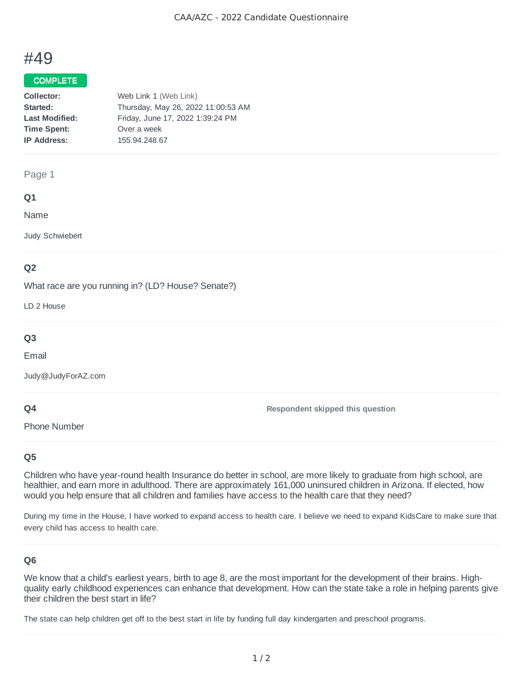# #49

#### COMPLETE

| Collector:            | Web Link 1 (Web Link)              |
|-----------------------|------------------------------------|
| Started:              | Thursday, May 26, 2022 11:00:53 AM |
| <b>Last Modified:</b> | Friday, June 17, 2022 1:39:24 PM   |
| <b>Time Spent:</b>    | Over a week                        |
| <b>IP Address:</b>    | 155.94.248.67                      |
|                       |                                    |

#### Page 1

#### **Q1**

Name

Judy Schwiebert

### **Q2**

What race are you running in? (LD? House? Senate?)

LD 2 House

# **Q3**

Email

Judy@JudyForAZ.com

#### **Q4**

**Respondent skipped this question**

Phone Number

#### **Q5**

Children who have year-round health Insurance do better in school, are more likely to graduate from high school, are healthier, and earn more in adulthood. There are approximately 161,000 uninsured children in Arizona. If elected, how would you help ensure that all children and families have access to the health care that they need?

During my time in the House, I have worked to expand access to health care. I believe we need to expand KidsCare to make sure that every child has access to health care.

#### **Q6**

We know that a child's earliest years, birth to age 8, are the most important for the development of their brains. Highquality early childhood experiences can enhance that development. How can the state take a role in helping parents give their children the best start in life?

The state can help children get off to the best start in life by funding full day kindergarten and preschool programs.